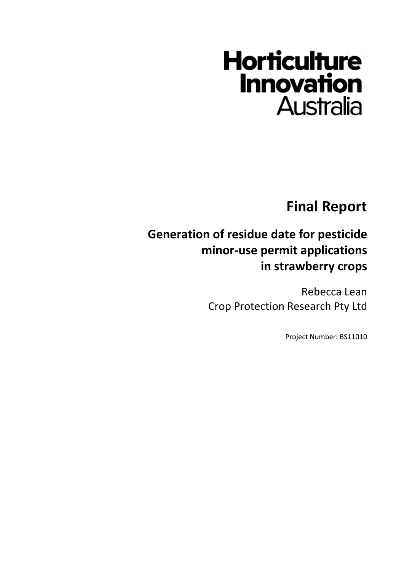# **Horticulture Innovation Australia**

**Final Report**

# **Generation of residue date for pesticide minor-use permit applications in strawberry crops**

Rebecca Lean Crop Protection Research Pty Ltd

Project Number: BS11010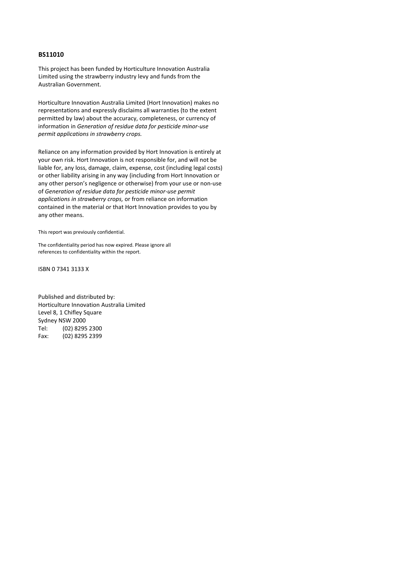#### **BS11010**

This project has been funded by Horticulture Innovation Australia Limited using the strawberry industry levy and funds from the Australian Government.

Horticulture Innovation Australia Limited (Hort Innovation) makes no representations and expressly disclaims all warranties (to the extent permitted by law) about the accuracy, completeness, or currency of information in *Generation of residue data for pesticide minor-use permit applications in strawberry crops.*

Reliance on any information provided by Hort Innovation is entirely at your own risk. Hort Innovation is not responsible for, and will not be liable for, any loss, damage, claim, expense, cost (including legal costs) or other liability arising in any way (including from Hort Innovation or any other person's negligence or otherwise) from your use or non-use of *Generation of residue data for pesticide minor-use permit applications in strawberry crops,* or from reliance on information contained in the material or that Hort Innovation provides to you by any other means.

This report was previously confidential.

The confidentiality period has now expired. Please ignore all references to confidentiality within the report.

ISBN 0 7341 3133 X

Published and distributed by: Horticulture Innovation Australia Limited Level 8, 1 Chifley Square Sydney NSW 2000 Tel: (02) 8295 2300 Fax: (02) 8295 2399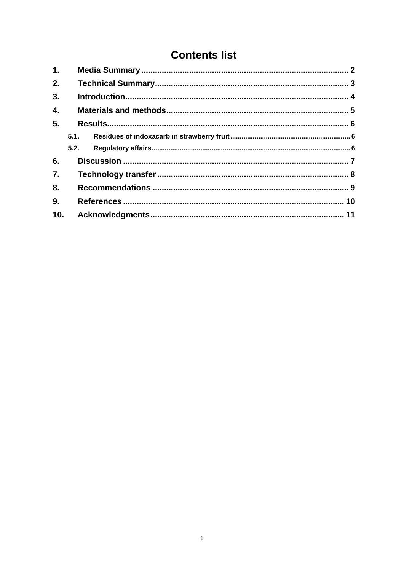# **Contents list**

| 1.  |      |  |  |
|-----|------|--|--|
| 2.  |      |  |  |
| 3.  |      |  |  |
| 4.  |      |  |  |
| 5.  |      |  |  |
|     |      |  |  |
|     | 5.2. |  |  |
| 6.  |      |  |  |
| 7.  |      |  |  |
| 8.  |      |  |  |
| 9.  |      |  |  |
| 10. |      |  |  |
|     |      |  |  |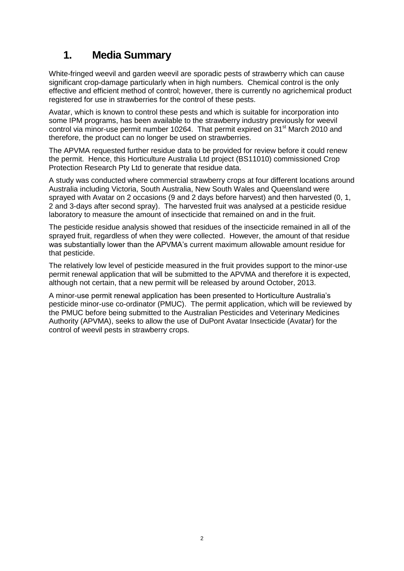#### <span id="page-3-0"></span>**1. Media Summary**

White-fringed weevil and garden weevil are sporadic pests of strawberry which can cause significant crop-damage particularly when in high numbers. Chemical control is the only effective and efficient method of control; however, there is currently no agrichemical product registered for use in strawberries for the control of these pests.

Avatar, which is known to control these pests and which is suitable for incorporation into some IPM programs, has been available to the strawberry industry previously for weevil control via minor-use permit number 10264. That permit expired on 31<sup>st</sup> March 2010 and therefore, the product can no longer be used on strawberries.

The APVMA requested further residue data to be provided for review before it could renew the permit. Hence, this Horticulture Australia Ltd project (BS11010) commissioned Crop Protection Research Pty Ltd to generate that residue data.

A study was conducted where commercial strawberry crops at four different locations around Australia including Victoria, South Australia, New South Wales and Queensland were sprayed with Avatar on 2 occasions (9 and 2 days before harvest) and then harvested (0, 1, 2 and 3-days after second spray). The harvested fruit was analysed at a pesticide residue laboratory to measure the amount of insecticide that remained on and in the fruit.

The pesticide residue analysis showed that residues of the insecticide remained in all of the sprayed fruit, regardless of when they were collected. However, the amount of that residue was substantially lower than the APVMA's current maximum allowable amount residue for that pesticide.

The relatively low level of pesticide measured in the fruit provides support to the minor-use permit renewal application that will be submitted to the APVMA and therefore it is expected, although not certain, that a new permit will be released by around October, 2013.

A minor-use permit renewal application has been presented to Horticulture Australia's pesticide minor-use co-ordinator (PMUC). The permit application, which will be reviewed by the PMUC before being submitted to the Australian Pesticides and Veterinary Medicines Authority (APVMA), seeks to allow the use of DuPont Avatar Insecticide (Avatar) for the control of weevil pests in strawberry crops.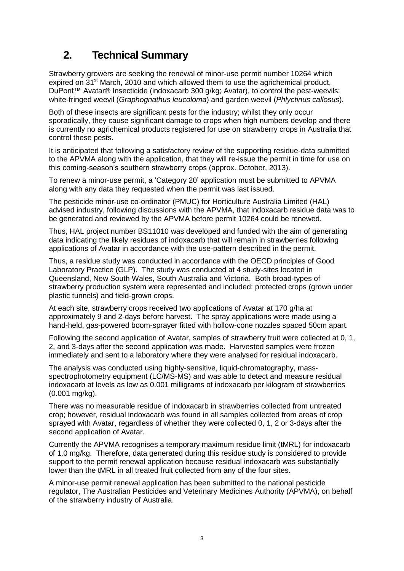### <span id="page-4-0"></span>**2. Technical Summary**

Strawberry growers are seeking the renewal of minor-use permit number 10264 which expired on  $31<sup>st</sup>$  March, 2010 and which allowed them to use the agrichemical product, DuPont™ Avatar® Insecticide (indoxacarb 300 g/kg; Avatar), to control the pest-weevils: white-fringed weevil (*Graphognathus leucoloma*) and garden weevil (*Phlyctinus callosus*).

Both of these insects are significant pests for the industry; whilst they only occur sporadically, they cause significant damage to crops when high numbers develop and there is currently no agrichemical products registered for use on strawberry crops in Australia that control these pests.

It is anticipated that following a satisfactory review of the supporting residue-data submitted to the APVMA along with the application, that they will re-issue the permit in time for use on this coming-season's southern strawberry crops (approx. October, 2013).

To renew a minor-use permit, a 'Category 20' application must be submitted to APVMA along with any data they requested when the permit was last issued.

The pesticide minor-use co-ordinator (PMUC) for Horticulture Australia Limited (HAL) advised industry, following discussions with the APVMA, that indoxacarb residue data was to be generated and reviewed by the APVMA before permit 10264 could be renewed.

Thus, HAL project number BS11010 was developed and funded with the aim of generating data indicating the likely residues of indoxacarb that will remain in strawberries following applications of Avatar in accordance with the use-pattern described in the permit.

Thus, a residue study was conducted in accordance with the OECD principles of Good Laboratory Practice (GLP). The study was conducted at 4 study-sites located in Queensland, New South Wales, South Australia and Victoria. Both broad-types of strawberry production system were represented and included: protected crops (grown under plastic tunnels) and field-grown crops.

At each site, strawberry crops received two applications of Avatar at 170 g/ha at approximately 9 and 2-days before harvest. The spray applications were made using a hand-held, gas-powered boom-sprayer fitted with hollow-cone nozzles spaced 50cm apart.

Following the second application of Avatar, samples of strawberry fruit were collected at 0, 1, 2, and 3-days after the second application was made. Harvested samples were frozen immediately and sent to a laboratory where they were analysed for residual indoxacarb.

The analysis was conducted using highly-sensitive, liquid-chromatography, massspectrophotometry equipment (LC/MS-MS) and was able to detect and measure residual indoxacarb at levels as low as 0.001 milligrams of indoxacarb per kilogram of strawberries (0.001 mg/kg).

There was no measurable residue of indoxacarb in strawberries collected from untreated crop; however, residual indoxacarb was found in all samples collected from areas of crop sprayed with Avatar, regardless of whether they were collected 0, 1, 2 or 3-days after the second application of Avatar.

Currently the APVMA recognises a temporary maximum residue limit (tMRL) for indoxacarb of 1.0 mg/kg. Therefore, data generated during this residue study is considered to provide support to the permit renewal application because residual indoxacarb was substantially lower than the tMRL in all treated fruit collected from any of the four sites.

A minor-use permit renewal application has been submitted to the national pesticide regulator, The Australian Pesticides and Veterinary Medicines Authority (APVMA), on behalf of the strawberry industry of Australia.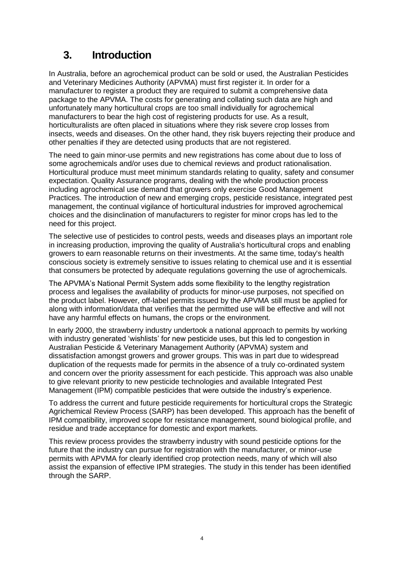#### <span id="page-5-0"></span>**3. Introduction**

In Australia, before an agrochemical product can be sold or used, the Australian Pesticides and Veterinary Medicines Authority (APVMA) must first register it. In order for a manufacturer to register a product they are required to submit a comprehensive data package to the APVMA. The costs for generating and collating such data are high and unfortunately many horticultural crops are too small individually for agrochemical manufacturers to bear the high cost of registering products for use. As a result, horticulturalists are often placed in situations where they risk severe crop losses from insects, weeds and diseases. On the other hand, they risk buyers rejecting their produce and other penalties if they are detected using products that are not registered.

The need to gain minor-use permits and new registrations has come about due to loss of some agrochemicals and/or uses due to chemical reviews and product rationalisation. Horticultural produce must meet minimum standards relating to quality, safety and consumer expectation. Quality Assurance programs, dealing with the whole production process including agrochemical use demand that growers only exercise Good Management Practices. The introduction of new and emerging crops, pesticide resistance, integrated pest management, the continual vigilance of horticultural industries for improved agrochemical choices and the disinclination of manufacturers to register for minor crops has led to the need for this project.

The selective use of pesticides to control pests, weeds and diseases plays an important role in increasing production, improving the quality of Australia's horticultural crops and enabling growers to earn reasonable returns on their investments. At the same time, today's health conscious society is extremely sensitive to issues relating to chemical use and it is essential that consumers be protected by adequate regulations governing the use of agrochemicals.

The APVMA's National Permit System adds some flexibility to the lengthy registration process and legalises the availability of products for minor-use purposes, not specified on the product label. However, off-label permits issued by the APVMA still must be applied for along with information/data that verifies that the permitted use will be effective and will not have any harmful effects on humans, the crops or the environment.

In early 2000, the strawberry industry undertook a national approach to permits by working with industry generated 'wishlists' for new pesticide uses, but this led to congestion in Australian Pesticide & Veterinary Management Authority (APVMA) system and dissatisfaction amongst growers and grower groups. This was in part due to widespread duplication of the requests made for permits in the absence of a truly co-ordinated system and concern over the priority assessment for each pesticide. This approach was also unable to give relevant priority to new pesticide technologies and available Integrated Pest Management (IPM) compatible pesticides that were outside the industry's experience.

To address the current and future pesticide requirements for horticultural crops the Strategic Agrichemical Review Process (SARP) has been developed. This approach has the benefit of IPM compatibility, improved scope for resistance management, sound biological profile, and residue and trade acceptance for domestic and export markets.

This review process provides the strawberry industry with sound pesticide options for the future that the industry can pursue for registration with the manufacturer, or minor-use permits with APVMA for clearly identified crop protection needs, many of which will also assist the expansion of effective IPM strategies. The study in this tender has been identified through the SARP.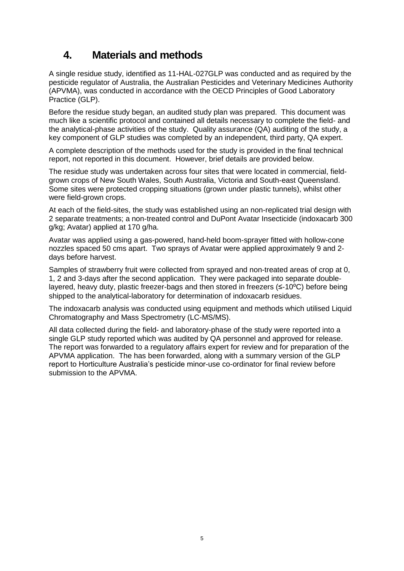#### <span id="page-6-0"></span>**4. Materials and methods**

A single residue study, identified as 11-HAL-027GLP was conducted and as required by the pesticide regulator of Australia, the Australian Pesticides and Veterinary Medicines Authority (APVMA), was conducted in accordance with the OECD Principles of Good Laboratory Practice (GLP).

Before the residue study began, an audited study plan was prepared. This document was much like a scientific protocol and contained all details necessary to complete the field- and the analytical-phase activities of the study. Quality assurance (QA) auditing of the study, a key component of GLP studies was completed by an independent, third party, QA expert.

A complete description of the methods used for the study is provided in the final technical report, not reported in this document. However, brief details are provided below.

The residue study was undertaken across four sites that were located in commercial, fieldgrown crops of New South Wales, South Australia, Victoria and South-east Queensland. Some sites were protected cropping situations (grown under plastic tunnels), whilst other were field-grown crops.

At each of the field-sites, the study was established using an non-replicated trial design with 2 separate treatments; a non-treated control and DuPont Avatar Insecticide (indoxacarb 300 g/kg; Avatar) applied at 170 g/ha.

Avatar was applied using a gas-powered, hand-held boom-sprayer fitted with hollow-cone nozzles spaced 50 cms apart. Two sprays of Avatar were applied approximately 9 and 2 days before harvest.

Samples of strawberry fruit were collected from sprayed and non-treated areas of crop at 0, 1, 2 and 3-days after the second application. They were packaged into separate doublelayered, heavy duty, plastic freezer-bags and then stored in freezers (≤-10<sup>o</sup>C) before being shipped to the analytical-laboratory for determination of indoxacarb residues.

The indoxacarb analysis was conducted using equipment and methods which utilised Liquid Chromatography and Mass Spectrometry (LC-MS/MS).

All data collected during the field- and laboratory-phase of the study were reported into a single GLP study reported which was audited by QA personnel and approved for release. The report was forwarded to a regulatory affairs expert for review and for preparation of the APVMA application. The has been forwarded, along with a summary version of the GLP report to Horticulture Australia's pesticide minor-use co-ordinator for final review before submission to the APVMA.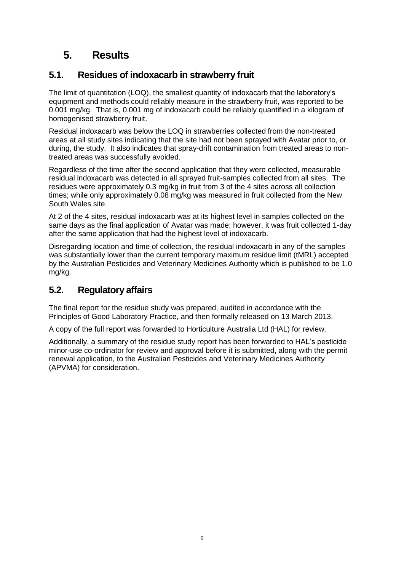#### <span id="page-7-0"></span>**5. Results**

#### <span id="page-7-1"></span>**5.1. Residues of indoxacarb in strawberry fruit**

The limit of quantitation (LOQ), the smallest quantity of indoxacarb that the laboratory's equipment and methods could reliably measure in the strawberry fruit, was reported to be 0.001 mg/kg. That is, 0.001 mg of indoxacarb could be reliably quantified in a kilogram of homogenised strawberry fruit.

Residual indoxacarb was below the LOQ in strawberries collected from the non-treated areas at all study sites indicating that the site had not been sprayed with Avatar prior to, or during, the study. It also indicates that spray-drift contamination from treated areas to nontreated areas was successfully avoided.

Regardless of the time after the second application that they were collected, measurable residual indoxacarb was detected in all sprayed fruit-samples collected from all sites. The residues were approximately 0.3 mg/kg in fruit from 3 of the 4 sites across all collection times; while only approximately 0.08 mg/kg was measured in fruit collected from the New South Wales site.

At 2 of the 4 sites, residual indoxacarb was at its highest level in samples collected on the same days as the final application of Avatar was made; however, it was fruit collected 1-day after the same application that had the highest level of indoxacarb.

Disregarding location and time of collection, the residual indoxacarb in any of the samples was substantially lower than the current temporary maximum residue limit (tMRL) accepted by the Australian Pesticides and Veterinary Medicines Authority which is published to be 1.0 mg/kg.

#### <span id="page-7-2"></span>**5.2. Regulatory affairs**

The final report for the residue study was prepared, audited in accordance with the Principles of Good Laboratory Practice, and then formally released on 13 March 2013.

A copy of the full report was forwarded to Horticulture Australia Ltd (HAL) for review.

Additionally, a summary of the residue study report has been forwarded to HAL's pesticide minor-use co-ordinator for review and approval before it is submitted, along with the permit renewal application, to the Australian Pesticides and Veterinary Medicines Authority (APVMA) for consideration.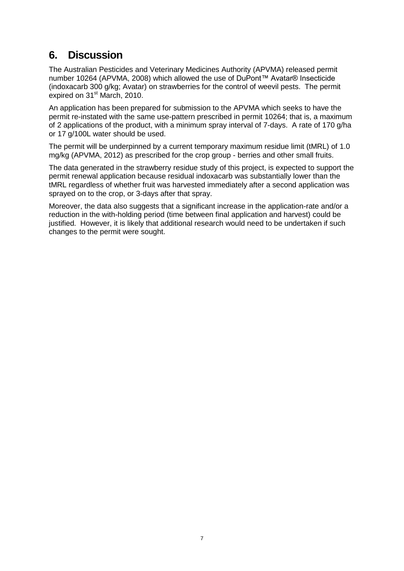#### <span id="page-8-0"></span>**6. Discussion**

The Australian Pesticides and Veterinary Medicines Authority (APVMA) released permit number 10264 (APVMA, 2008) which allowed the use of DuPont™ Avatar® Insecticide (indoxacarb 300 g/kg; Avatar) on strawberries for the control of weevil pests. The permit expired on 31<sup>st</sup> March, 2010.

An application has been prepared for submission to the APVMA which seeks to have the permit re-instated with the same use-pattern prescribed in permit 10264; that is, a maximum of 2 applications of the product, with a minimum spray interval of 7-days. A rate of 170 g/ha or 17 g/100L water should be used.

The permit will be underpinned by a current temporary maximum residue limit (tMRL) of 1.0 mg/kg (APVMA, 2012) as prescribed for the crop group - berries and other small fruits.

The data generated in the strawberry residue study of this project, is expected to support the permit renewal application because residual indoxacarb was substantially lower than the tMRL regardless of whether fruit was harvested immediately after a second application was sprayed on to the crop, or 3-days after that spray.

Moreover, the data also suggests that a significant increase in the application-rate and/or a reduction in the with-holding period (time between final application and harvest) could be justified. However, it is likely that additional research would need to be undertaken if such changes to the permit were sought.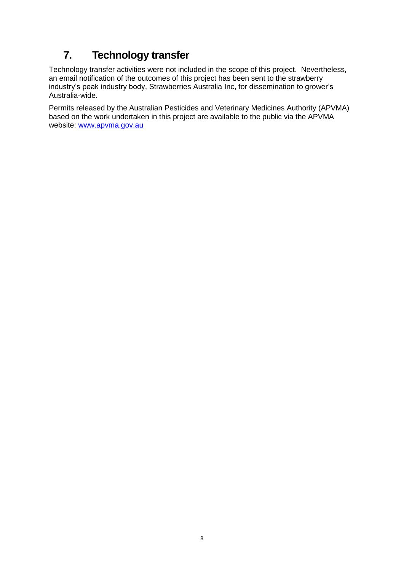# <span id="page-9-0"></span>**7. Technology transfer**

Technology transfer activities were not included in the scope of this project. Nevertheless, an email notification of the outcomes of this project has been sent to the strawberry industry's peak industry body, Strawberries Australia Inc, for dissemination to grower's Australia-wide.

Permits released by the Australian Pesticides and Veterinary Medicines Authority (APVMA) based on the work undertaken in this project are available to the public via the APVMA website: [www.apvma.gov.au](http://www.apvma.gov.au/)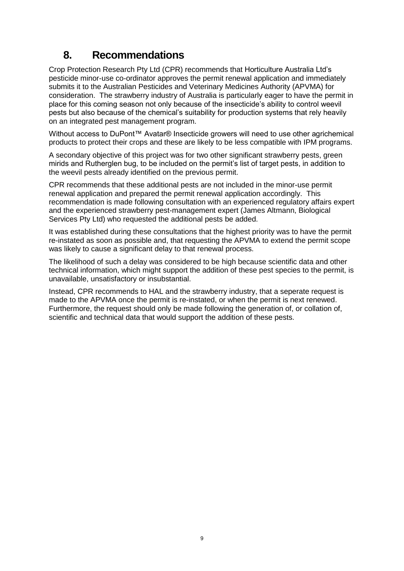#### <span id="page-10-0"></span>**8. Recommendations**

Crop Protection Research Pty Ltd (CPR) recommends that Horticulture Australia Ltd's pesticide minor-use co-ordinator approves the permit renewal application and immediately submits it to the Australian Pesticides and Veterinary Medicines Authority (APVMA) for consideration. The strawberry industry of Australia is particularly eager to have the permit in place for this coming season not only because of the insecticide's ability to control weevil pests but also because of the chemical's suitability for production systems that rely heavily on an integrated pest management program.

Without access to DuPont™ Avatar® Insecticide growers will need to use other agrichemical products to protect their crops and these are likely to be less compatible with IPM programs.

A secondary objective of this project was for two other significant strawberry pests, green mirids and Rutherglen bug, to be included on the permit's list of target pests, in addition to the weevil pests already identified on the previous permit.

CPR recommends that these additional pests are not included in the minor-use permit renewal application and prepared the permit renewal application accordingly. This recommendation is made following consultation with an experienced regulatory affairs expert and the experienced strawberry pest-management expert (James Altmann, Biological Services Pty Ltd) who requested the additional pests be added.

It was established during these consultations that the highest priority was to have the permit re-instated as soon as possible and, that requesting the APVMA to extend the permit scope was likely to cause a significant delay to that renewal process.

The likelihood of such a delay was considered to be high because scientific data and other technical information, which might support the addition of these pest species to the permit, is unavailable, unsatisfactory or insubstantial.

Instead, CPR recommends to HAL and the strawberry industry, that a seperate request is made to the APVMA once the permit is re-instated, or when the permit is next renewed. Furthermore, the request should only be made following the generation of, or collation of, scientific and technical data that would support the addition of these pests.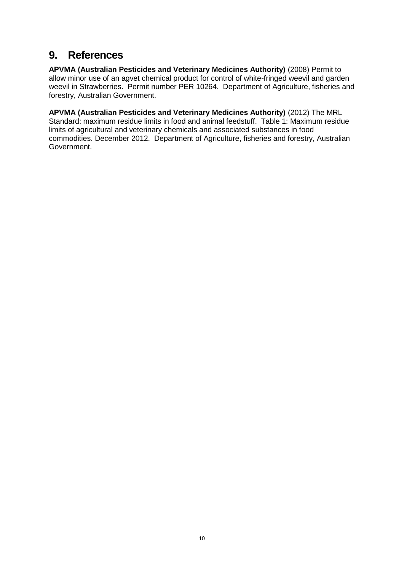#### <span id="page-11-0"></span>**9. References**

**APVMA (Australian Pesticides and Veterinary Medicines Authority)** (2008) Permit to allow minor use of an agvet chemical product for control of white-fringed weevil and garden weevil in Strawberries. Permit number PER 10264. Department of Agriculture, fisheries and forestry, Australian Government.

**APVMA (Australian Pesticides and Veterinary Medicines Authority)** (2012) The MRL Standard: maximum residue limits in food and animal feedstuff. Table 1: Maximum residue limits of agricultural and veterinary chemicals and associated substances in food commodities. December 2012. Department of Agriculture, fisheries and forestry, Australian Government.